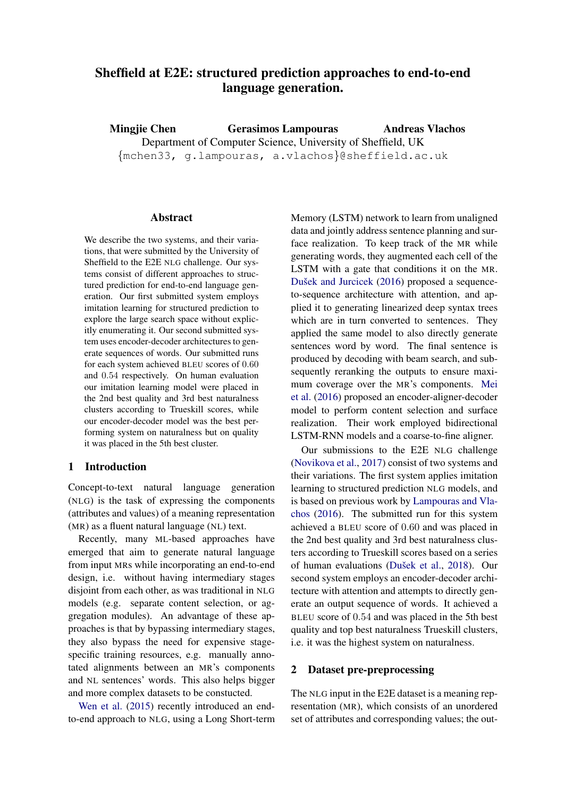# Sheffield at E2E: structured prediction approaches to end-to-end language generation.

Mingjie Chen Gerasimos Lampouras Department of Computer Science, University of Sheffield, UK {mchen33, g.lampouras, a.vlachos}@sheffield.ac.uk Andreas Vlachos

#### Abstract

We describe the two systems, and their variations, that were submitted by the University of Sheffield to the E2E NLG challenge. Our systems consist of different approaches to structured prediction for end-to-end language generation. Our first submitted system employs imitation learning for structured prediction to explore the large search space without explicitly enumerating it. Our second submitted system uses encoder-decoder architectures to generate sequences of words. Our submitted runs for each system achieved BLEU scores of 0.60 and 0.54 respectively. On human evaluation our imitation learning model were placed in the 2nd best quality and 3rd best naturalness clusters according to Trueskill scores, while our encoder-decoder model was the best performing system on naturalness but on quality it was placed in the 5th best cluster.

#### 1 Introduction

Concept-to-text natural language generation (NLG) is the task of expressing the components (attributes and values) of a meaning representation (MR) as a fluent natural language (NL) text.

Recently, many ML-based approaches have emerged that aim to generate natural language from input MRs while incorporating an end-to-end design, i.e. without having intermediary stages disjoint from each other, as was traditional in NLG models (e.g. separate content selection, or aggregation modules). An advantage of these approaches is that by bypassing intermediary stages, they also bypass the need for expensive stagespecific training resources, e.g. manually annotated alignments between an MR's components and NL sentences' words. This also helps bigger and more complex datasets to be constucted.

[Wen et al.](#page-5-0) [\(2015\)](#page-5-0) recently introduced an endto-end approach to NLG, using a Long Short-term

Memory (LSTM) network to learn from unaligned data and jointly address sentence planning and surface realization. To keep track of the MR while generating words, they augmented each cell of the LSTM with a gate that conditions it on the MR. Dušek and Jurcicek [\(2016\)](#page-4-0) proposed a sequenceto-sequence architecture with attention, and applied it to generating linearized deep syntax trees which are in turn converted to sentences. They applied the same model to also directly generate sentences word by word. The final sentence is produced by decoding with beam search, and subsequently reranking the outputs to ensure maximum coverage over the MR's components. [Mei](#page-5-1) [et al.](#page-5-1) [\(2016\)](#page-5-1) proposed an encoder-aligner-decoder model to perform content selection and surface realization. Their work employed bidirectional LSTM-RNN models and a coarse-to-fine aligner.

Our submissions to the E2E NLG challenge [\(Novikova et al.,](#page-5-2) [2017\)](#page-5-2) consist of two systems and their variations. The first system applies imitation learning to structured prediction NLG models, and is based on previous work by [Lampouras and Vla](#page-5-3)[chos](#page-5-3) [\(2016\)](#page-5-3). The submitted run for this system achieved a BLEU score of 0.60 and was placed in the 2nd best quality and 3rd best naturalness clusters according to Trueskill scores based on a series of human evaluations (Dušek et al., [2018\)](#page-4-1). Our second system employs an encoder-decoder architecture with attention and attempts to directly generate an output sequence of words. It achieved a BLEU score of 0.54 and was placed in the 5th best quality and top best naturalness Trueskill clusters, i.e. it was the highest system on naturalness.

## 2 Dataset pre-preprocessing

The NLG input in the E2E dataset is a meaning representation (MR), which consists of an unordered set of attributes and corresponding values; the out-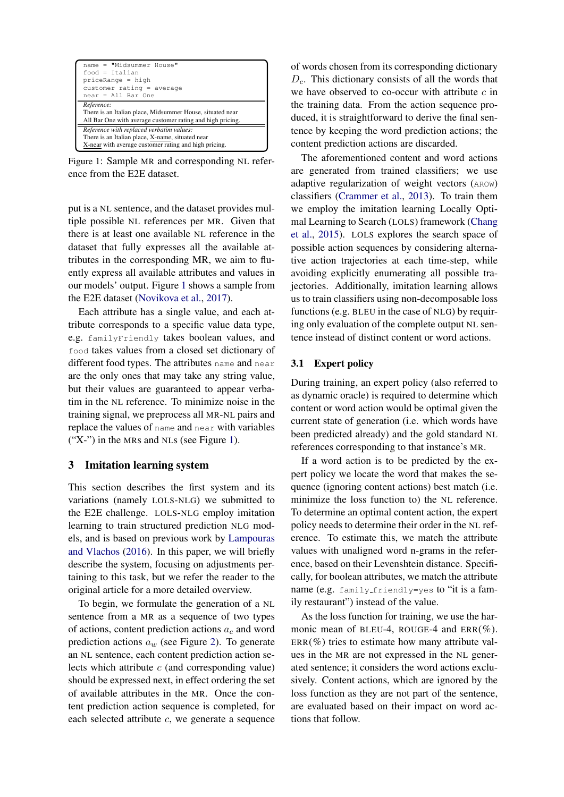<span id="page-1-0"></span>

| name = "Midsummer House"<br>$food = Italian$<br>$priceRange = high$<br>$cutomer$ rating = average<br>$near = All Bar One$                             |  |  |  |
|-------------------------------------------------------------------------------------------------------------------------------------------------------|--|--|--|
| Reference:<br>There is an Italian place, Midsummer House, situated near<br>All Bar One with average customer rating and high pricing.                 |  |  |  |
| Reference with replaced verbatim values:<br>There is an Italian place, X-name, situated near<br>X-near with average customer rating and high pricing. |  |  |  |

Figure 1: Sample MR and corresponding NL reference from the E2E dataset.

put is a NL sentence, and the dataset provides multiple possible NL references per MR. Given that there is at least one available NL reference in the dataset that fully expresses all the available attributes in the corresponding MR, we aim to fluently express all available attributes and values in our models' output. Figure [1](#page-1-0) shows a sample from the E2E dataset [\(Novikova et al.,](#page-5-2) [2017\)](#page-5-2).

Each attribute has a single value, and each attribute corresponds to a specific value data type, e.g. familyFriendly takes boolean values, and food takes values from a closed set dictionary of different food types. The attributes name and near are the only ones that may take any string value, but their values are guaranteed to appear verbatim in the NL reference. To minimize noise in the training signal, we preprocess all MR-NL pairs and replace the values of name and near with variables ("X-") in the MRs and NLs (see Figure [1\)](#page-1-0).

# 3 Imitation learning system

This section describes the first system and its variations (namely LOLS-NLG) we submitted to the E2E challenge. LOLS-NLG employ imitation learning to train structured prediction NLG models, and is based on previous work by [Lampouras](#page-5-3) [and Vlachos](#page-5-3) [\(2016\)](#page-5-3). In this paper, we will briefly describe the system, focusing on adjustments pertaining to this task, but we refer the reader to the original article for a more detailed overview.

To begin, we formulate the generation of a NL sentence from a MR as a sequence of two types of actions, content prediction actions  $a_c$  and word prediction actions  $a_w$  (see Figure [2\)](#page-2-0). To generate an NL sentence, each content prediction action selects which attribute  $c$  (and corresponding value) should be expressed next, in effect ordering the set of available attributes in the MR. Once the content prediction action sequence is completed, for each selected attribute c, we generate a sequence

of words chosen from its corresponding dictionary  $D<sub>c</sub>$ . This dictionary consists of all the words that we have observed to co-occur with attribute  $c$  in the training data. From the action sequence produced, it is straightforward to derive the final sentence by keeping the word prediction actions; the content prediction actions are discarded.

The aforementioned content and word actions are generated from trained classifiers; we use adaptive regularization of weight vectors (AROW) classifiers [\(Crammer et al.,](#page-4-2) [2013\)](#page-4-2). To train them we employ the imitation learning Locally Optimal Learning to Search (LOLS) framework [\(Chang](#page-4-3) [et al.,](#page-4-3) [2015\)](#page-4-3). LOLS explores the search space of possible action sequences by considering alternative action trajectories at each time-step, while avoiding explicitly enumerating all possible trajectories. Additionally, imitation learning allows us to train classifiers using non-decomposable loss functions (e.g. BLEU in the case of NLG) by requiring only evaluation of the complete output NL sentence instead of distinct content or word actions.

## 3.1 Expert policy

During training, an expert policy (also referred to as dynamic oracle) is required to determine which content or word action would be optimal given the current state of generation (i.e. which words have been predicted already) and the gold standard NL references corresponding to that instance's MR.

If a word action is to be predicted by the expert policy we locate the word that makes the sequence (ignoring content actions) best match (i.e. minimize the loss function to) the NL reference. To determine an optimal content action, the expert policy needs to determine their order in the NL reference. To estimate this, we match the attribute values with unaligned word n-grams in the reference, based on their Levenshtein distance. Specifically, for boolean attributes, we match the attribute name (e.g. family friendly=yes to "it is a family restaurant") instead of the value.

As the loss function for training, we use the harmonic mean of BLEU-4, ROUGE-4 and  $ERR(\%)$ .  $ERR(\%)$  tries to estimate how many attribute values in the MR are not expressed in the NL generated sentence; it considers the word actions exclusively. Content actions, which are ignored by the loss function as they are not part of the sentence, are evaluated based on their impact on word actions that follow.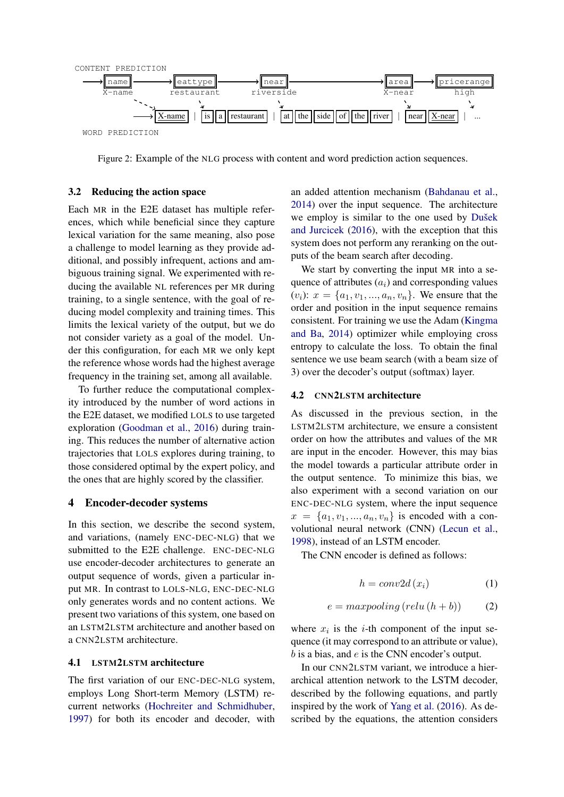<span id="page-2-0"></span>

Figure 2: Example of the NLG process with content and word prediction action sequences.

#### <span id="page-2-1"></span>3.2 Reducing the action space

Each MR in the E2E dataset has multiple references, which while beneficial since they capture lexical variation for the same meaning, also pose a challenge to model learning as they provide additional, and possibly infrequent, actions and ambiguous training signal. We experimented with reducing the available NL references per MR during training, to a single sentence, with the goal of reducing model complexity and training times. This limits the lexical variety of the output, but we do not consider variety as a goal of the model. Under this configuration, for each MR we only kept the reference whose words had the highest average frequency in the training set, among all available.

To further reduce the computational complexity introduced by the number of word actions in the E2E dataset, we modified LOLS to use targeted exploration [\(Goodman et al.,](#page-4-4) [2016\)](#page-4-4) during training. This reduces the number of alternative action trajectories that LOLS explores during training, to those considered optimal by the expert policy, and the ones that are highly scored by the classifier.

#### 4 Encoder-decoder systems

In this section, we describe the second system, and variations, (namely ENC-DEC-NLG) that we submitted to the E2E challenge. ENC-DEC-NLG use encoder-decoder architectures to generate an output sequence of words, given a particular input MR. In contrast to LOLS-NLG, ENC-DEC-NLG only generates words and no content actions. We present two variations of this system, one based on an LSTM2LSTM architecture and another based on a CNN2LSTM architecture.

#### 4.1 LSTM2LSTM architecture

The first variation of our ENC-DEC-NLG system, employs Long Short-term Memory (LSTM) recurrent networks [\(Hochreiter and Schmidhuber,](#page-5-4) [1997\)](#page-5-4) for both its encoder and decoder, with

an added attention mechanism [\(Bahdanau et al.,](#page-4-5) [2014\)](#page-4-5) over the input sequence. The architecture we employ is similar to the one used by Dušek [and Jurcicek](#page-4-0) [\(2016\)](#page-4-0), with the exception that this system does not perform any reranking on the outputs of the beam search after decoding.

We start by converting the input MR into a sequence of attributes  $(a_i)$  and corresponding values  $(v_i): x = \{a_1, v_1, ..., a_n, v_n\}.$  We ensure that the order and position in the input sequence remains consistent. For training we use the Adam [\(Kingma](#page-5-5) [and Ba,](#page-5-5) [2014\)](#page-5-5) optimizer while employing cross entropy to calculate the loss. To obtain the final sentence we use beam search (with a beam size of 3) over the decoder's output (softmax) layer.

#### 4.2 CNN2LSTM architecture

As discussed in the previous section, in the LSTM2LSTM architecture, we ensure a consistent order on how the attributes and values of the MR are input in the encoder. However, this may bias the model towards a particular attribute order in the output sentence. To minimize this bias, we also experiment with a second variation on our ENC-DEC-NLG system, where the input sequence  $x = \{a_1, v_1, \ldots, a_n, v_n\}$  is encoded with a convolutional neural network (CNN) [\(Lecun et al.,](#page-5-6) [1998\)](#page-5-6), instead of an LSTM encoder.

The CNN encoder is defined as follows:

$$
h = conv2d(x_i) \tag{1}
$$

$$
e = maxpooling\left(relu\left(h+b\right)\right) \tag{2}
$$

where  $x_i$  is the *i*-th component of the input sequence (it may correspond to an attribute or value),  $b$  is a bias, and  $e$  is the CNN encoder's output.

In our CNN2LSTM variant, we introduce a hierarchical attention network to the LSTM decoder, described by the following equations, and partly inspired by the work of [Yang et al.](#page-5-7) [\(2016\)](#page-5-7). As described by the equations, the attention considers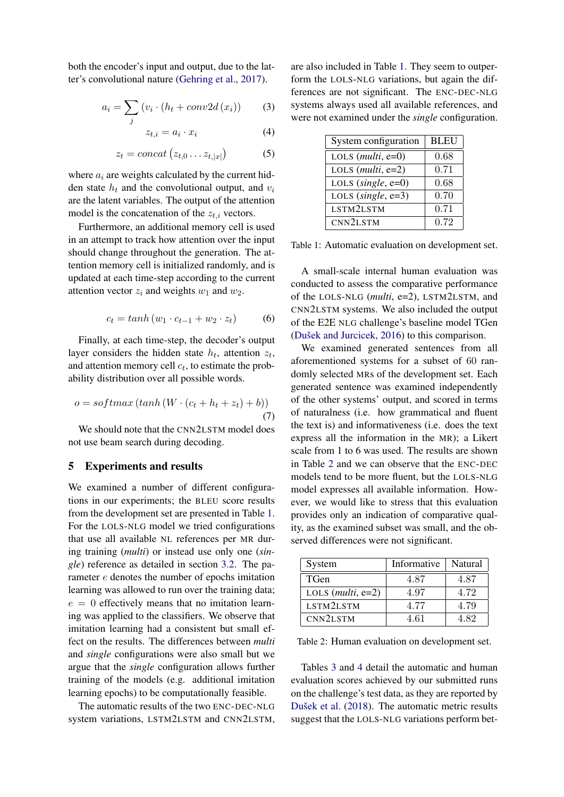both the encoder's input and output, due to the latter's convolutional nature [\(Gehring et al.,](#page-4-6) [2017\)](#page-4-6).

$$
a_i = \sum_j \left( v_i \cdot \left( h_t + conv2d(x_i) \right) \right) \tag{3}
$$

$$
z_{t,i} = a_i \cdot x_i \tag{4}
$$

$$
z_t = concat\left(z_{t,0} \dots z_{t,|x|}\right) \tag{5}
$$

where  $a_i$  are weights calculated by the current hidden state  $h_t$  and the convolutional output, and  $v_i$ are the latent variables. The output of the attention model is the concatenation of the  $z_{t,i}$  vectors.

Furthermore, an additional memory cell is used in an attempt to track how attention over the input should change throughout the generation. The attention memory cell is initialized randomly, and is updated at each time-step according to the current attention vector  $z_i$  and weights  $w_1$  and  $w_2$ .

$$
c_t = \tanh(w_1 \cdot c_{t-1} + w_2 \cdot z_t) \tag{6}
$$

Finally, at each time-step, the decoder's output layer considers the hidden state  $h_t$ , attention  $z_t$ , and attention memory cell  $c_t$ , to estimate the probability distribution over all possible words.

$$
o = softmax(tanh(W \cdot (c_t + h_t + z_t) + b))
$$
\n<sup>(7)</sup>

We should note that the CNN2LSTM model does not use beam search during decoding.

## 5 Experiments and results

We examined a number of different configurations in our experiments; the BLEU score results from the development set are presented in Table [1.](#page-3-0) For the LOLS-NLG model we tried configurations that use all available NL references per MR during training (*multi*) or instead use only one (*single*) reference as detailed in section [3.2.](#page-2-1) The parameter e denotes the number of epochs imitation learning was allowed to run over the training data;  $e = 0$  effectively means that no imitation learning was applied to the classifiers. We observe that imitation learning had a consistent but small effect on the results. The differences between *multi* and *single* configurations were also small but we argue that the *single* configuration allows further training of the models (e.g. additional imitation learning epochs) to be computationally feasible.

The automatic results of the two ENC-DEC-NLG system variations, LSTM2LSTM and CNN2LSTM,

are also included in Table [1.](#page-3-0) They seem to outperform the LOLS-NLG variations, but again the differences are not significant. The ENC-DEC-NLG systems always used all available references, and were not examined under the *single* configuration.

<span id="page-3-0"></span>

| System configuration  | <b>BLEU</b> |
|-----------------------|-------------|
| LOLS $(multi, e=0)$   | 0.68        |
| LOLS $(multi, e=2)$   | 0.71        |
| LOLS (single, $e=0$ ) | 0.68        |
| LOLS (single, $e=3$ ) | 0.70        |
| LSTM2LSTM             | 0.71        |
| CNN2LSTM              | 0.72        |

Table 1: Automatic evaluation on development set.

A small-scale internal human evaluation was conducted to assess the comparative performance of the LOLS-NLG (*multi*, e=2), LSTM2LSTM, and CNN2LSTM systems. We also included the output of the E2E NLG challenge's baseline model TGen (Dušek and Jurcicek,  $2016$ ) to this comparison.

We examined generated sentences from all aforementioned systems for a subset of 60 randomly selected MRs of the development set. Each generated sentence was examined independently of the other systems' output, and scored in terms of naturalness (i.e. how grammatical and fluent the text is) and informativeness (i.e. does the text express all the information in the MR); a Likert scale from 1 to 6 was used. The results are shown in Table [2](#page-3-1) and we can observe that the ENC-DEC models tend to be more fluent, but the LOLS-NLG model expresses all available information. However, we would like to stress that this evaluation provides only an indication of comparative quality, as the examined subset was small, and the observed differences were not significant.

<span id="page-3-1"></span>

| System              | Informative | Natural |
|---------------------|-------------|---------|
| TGen                | 4.87        | 4.87    |
| LOLS $(multi, e=2)$ | 4.97        | 4.72    |
| LSTM2LSTM           | 4.77        | 4.79    |
| CNN2LSTM            | 4.61        | 4.82    |

Table 2: Human evaluation on development set.

Tables [3](#page-4-7) and [4](#page-4-8) detail the automatic and human evaluation scores achieved by our submitted runs on the challenge's test data, as they are reported by Dušek et al. [\(2018\)](#page-4-1). The automatic metric results suggest that the LOLS-NLG variations perform bet-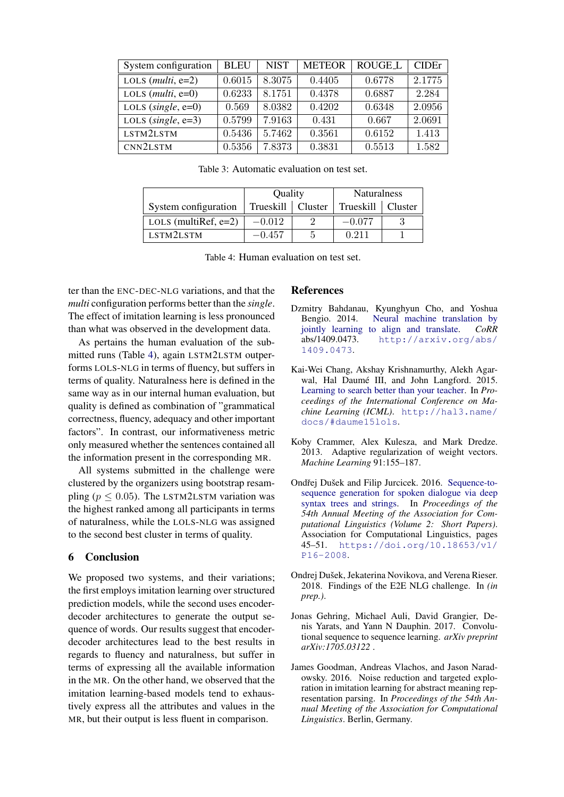<span id="page-4-7"></span>

| System configuration  | <b>BLEU</b> | <b>NIST</b> | <b>METEOR</b> | <b>ROUGE_L</b> | CIDEr  |
|-----------------------|-------------|-------------|---------------|----------------|--------|
| LOLS $(multi, e=2)$   | 0.6015      | 8.3075      | 0.4405        | 0.6778         | 2.1775 |
| LOLS $(multi, e=0)$   | 0.6233      | 8.1751      | 0.4378        | 0.6887         | 2.284  |
| LOLS (single, $e=0$ ) | 0.569       | 8.0382      | 0.4202        | 0.6348         | 2.0956 |
| LOLS (single, $e=3$ ) | 0.5799      | 7.9163      | 0.431         | 0.667          | 2.0691 |
| LSTM2LSTM             | 0.5436      | 5.7462      | 0.3561        | 0.6152         | 1.413  |
| CNN2LSTM              | 0.5356      | 7.8373      | 0.3831        | 0.5513         | 1.582  |

Table 3: Automatic evaluation on test set.

<span id="page-4-8"></span>

|                         | Quality   |         | <b>Naturalness</b>  |  |
|-------------------------|-----------|---------|---------------------|--|
| System configuration    | Trueskill | Cluster | Trueskill   Cluster |  |
| LOLS (multiRef, $e=2$ ) | $-0.012$  |         | $-0.077$            |  |
| LSTM2LSTM               | $-0.457$  |         | 0.211               |  |

Table 4: Human evaluation on test set.

ter than the ENC-DEC-NLG variations, and that the *multi* configuration performs better than the *single*. The effect of imitation learning is less pronounced than what was observed in the development data.

As pertains the human evaluation of the submitted runs (Table [4\)](#page-4-8), again LSTM2LSTM outperforms LOLS-NLG in terms of fluency, but suffers in terms of quality. Naturalness here is defined in the same way as in our internal human evaluation, but quality is defined as combination of "grammatical correctness, fluency, adequacy and other important factors". In contrast, our informativeness metric only measured whether the sentences contained all the information present in the corresponding MR.

All systems submitted in the challenge were clustered by the organizers using bootstrap resampling ( $p \le 0.05$ ). The LSTM2LSTM variation was the highest ranked among all participants in terms of naturalness, while the LOLS-NLG was assigned to the second best cluster in terms of quality.

# 6 Conclusion

We proposed two systems, and their variations; the first employs imitation learning over structured prediction models, while the second uses encoderdecoder architectures to generate the output sequence of words. Our results suggest that encoderdecoder architectures lead to the best results in regards to fluency and naturalness, but suffer in terms of expressing all the available information in the MR. On the other hand, we observed that the imitation learning-based models tend to exhaustively express all the attributes and values in the MR, but their output is less fluent in comparison.

#### **References**

- <span id="page-4-5"></span>Dzmitry Bahdanau, Kyunghyun Cho, and Yoshua [Neural machine translation by](http://arxiv.org/abs/1409.0473) [jointly learning to align and translate.](http://arxiv.org/abs/1409.0473) *CoRR* abs/1409.0473. [http://arxiv.org/abs/](http://arxiv.org/abs/1409.0473) [1409.0473](http://arxiv.org/abs/1409.0473).
- <span id="page-4-3"></span>Kai-Wei Chang, Akshay Krishnamurthy, Alekh Agarwal, Hal Daumé III, and John Langford, 2015. [Learning to search better than your teacher.](http://hal3.name/docs/#daume15lols) In *Proceedings of the International Conference on Machine Learning (ICML)*. [http://hal3.name/](http://hal3.name/docs/#daume15lols) [docs/#daume15lols](http://hal3.name/docs/#daume15lols).
- <span id="page-4-2"></span>Koby Crammer, Alex Kulesza, and Mark Dredze. 2013. Adaptive regularization of weight vectors. *Machine Learning* 91:155–187.
- <span id="page-4-0"></span>Ondřej Dušek and Filip Jurcicek. 2016. [Sequence-to](https://doi.org/10.18653/v1/P16-2008)[sequence generation for spoken dialogue via deep](https://doi.org/10.18653/v1/P16-2008) [syntax trees and strings.](https://doi.org/10.18653/v1/P16-2008) In *Proceedings of the 54th Annual Meeting of the Association for Computational Linguistics (Volume 2: Short Papers)*. Association for Computational Linguistics, pages 45–51. [https://doi.org/10.18653/v1/](https://doi.org/10.18653/v1/P16-2008) [P16-2008](https://doi.org/10.18653/v1/P16-2008).
- <span id="page-4-1"></span>Ondrej Dušek, Jekaterina Novikova, and Verena Rieser. 2018. Findings of the E2E NLG challenge. In *(in prep.)*.
- <span id="page-4-6"></span>Jonas Gehring, Michael Auli, David Grangier, Denis Yarats, and Yann N Dauphin. 2017. Convolutional sequence to sequence learning. *arXiv preprint arXiv:1705.03122* .
- <span id="page-4-4"></span>James Goodman, Andreas Vlachos, and Jason Naradowsky. 2016. Noise reduction and targeted exploration in imitation learning for abstract meaning representation parsing. In *Proceedings of the 54th Annual Meeting of the Association for Computational Linguistics*. Berlin, Germany.